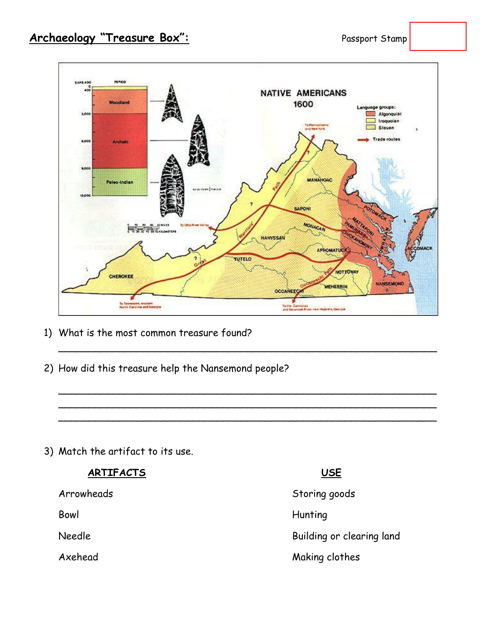

 $\sim$  . The contract of the contract of the contract of the contract of the contract of the contract of the contract of

 $\sim$  . The contract of the contract of the contract of the contract of the contract of the contract of the contract of  $\sim$  . The contract of the contract of the contract of the contract of the contract of the contract of the contract of  $\sim$  . The contract of the contract of the contract of the contract of the contract of the contract of the contract of

- 1) What is the most common treasure found?
- 2) How did this treasure help the Nansemond people?

3) Match the artifact to its use.

### **ARTIFACTS USE**

Arrowheads Storing goods Arrowheads

Bowl **Hunting** 

Needle **Building or clearing land** 

Axehead Making clothes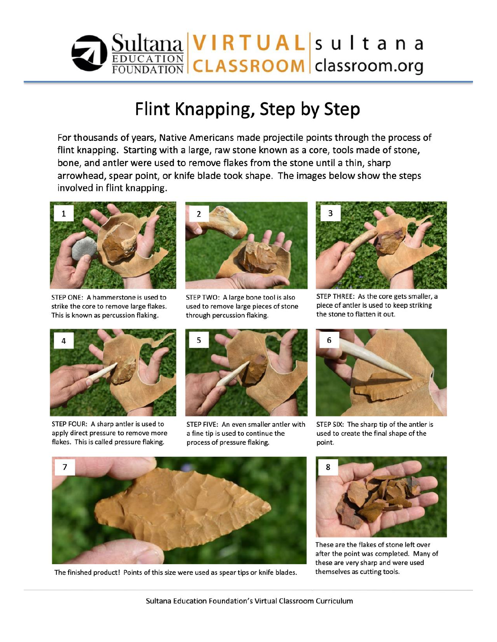

# Flint Knapping, Step by Step

For thousands of years, Native Americans made projectile points through the process of flint knapping. Starting with a large, raw stone known as a core, tools made of stone, bone, and antler were used to remove flakes from the stone until a thin, sharp arrowhead, spear point, or knife blade took shape. The images below show the steps involved in flint knapping.



STEP ONE: A hammerstone is used to strike the core to remove large flakes. This is known as percussion flaking.



STEP TWO: A large bone tool is also used to remove large pieces of stone through percussion flaking.



STEP THREE: As the core gets smaller, a piece of antler is used to keep striking the stone to flatten it out.



STEP FOUR: A sharp antler is used to apply direct pressure to remove more flakes. This is called pressure flaking.



STEP FIVE: An even smaller antler with a fine tip is used to continue the process of pressure flaking.



STEP SIX: The sharp tip of the antler is used to create the final shape of the point.



The finished product! Points of this size were used as spear tips or knife blades.



These are the flakes of stone left over after the point was completed. Many of these are very sharp and were used themselves as cutting tools.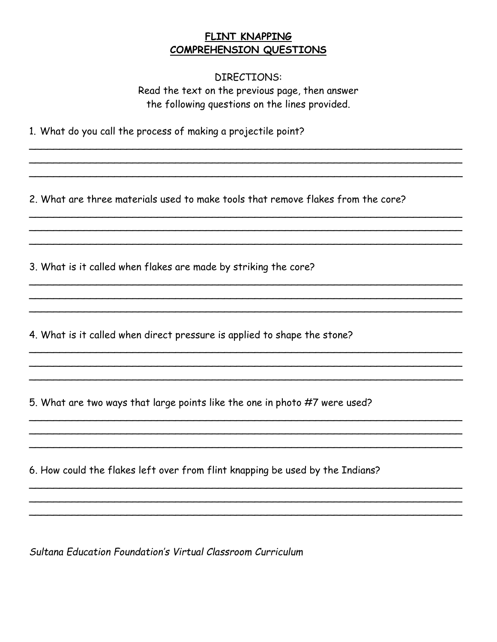### FLINT KNAPPING COMPREHENSION QUESTIONS

DIRECTIONS: Read the text on the previous page, then answer the following questions on the lines provided.

1. What do you call the process of making a projectile point?

2. What are three materials used to make tools that remove flakes from the core?

3. What is it called when flakes are made by striking the core?

4. What is it called when direct pressure is applied to shape the stone?

5. What are two ways that large points like the one in photo #7 were used?

6. How could the flakes left over from flint knapping be used by the Indians?

Sultana Education Foundation's Virtual Classroom Curriculum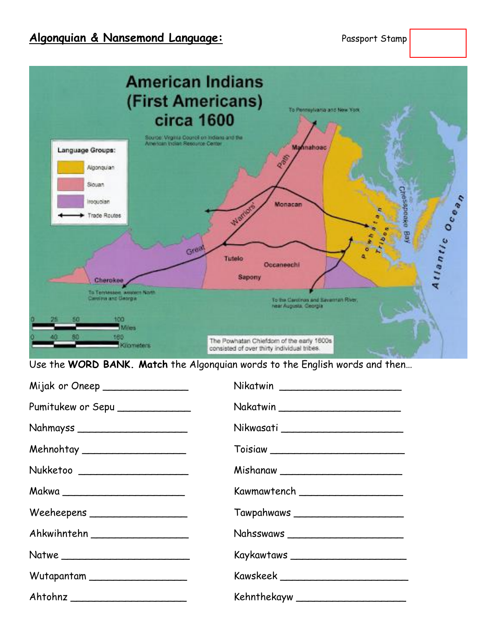## **Algonquian & Nansemond Language:** Passport Stamp



Use the **WORD BANK. Match** the Algonquian words to the English words and then…

| Mijak or Oneep ________________   | Nikatwin __________________________   |
|-----------------------------------|---------------------------------------|
| Pumitukew or Sepu                 | Nakatwin ____________________________ |
| Nahmayss ________________________ |                                       |
| Mehnohtay ______________________  |                                       |
| Nukketoo _______________________  |                                       |
|                                   | Kawmawtench _______________________   |
| $We eheepens \_\_\_\_\_\_$        | Tawpahwaws ________________________   |
| Ahkwihntehn                       | Nahsswaws ___________________________ |
|                                   |                                       |
| Wutapantam ____________________   |                                       |
|                                   |                                       |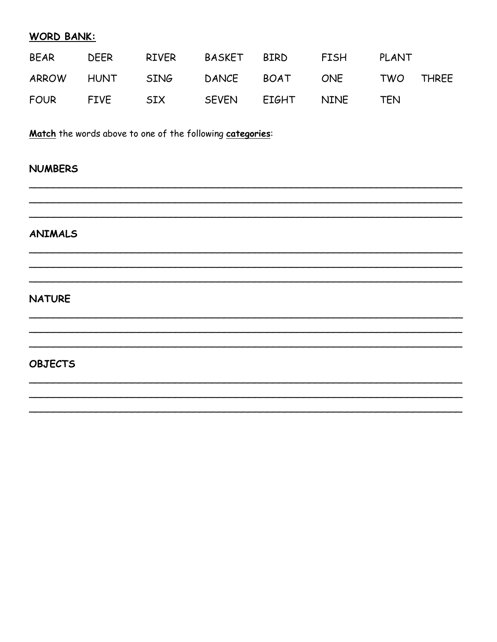#### **WORD BANK:**

| <b>BEAR</b> | DEER | RIVER BASKET BIRD                        |  | <b>FISH</b> | PLANT |  |
|-------------|------|------------------------------------------|--|-------------|-------|--|
|             |      | ARROW HUNT SING DANCE BOAT ONE TWO THREE |  |             |       |  |
| FOUR FIVE   |      |                                          |  |             | TFN   |  |

Match the words above to one of the following categories:

#### **NUMBERS**

# **ANIMALS**

#### **NATURE**

#### **OBJECTS**